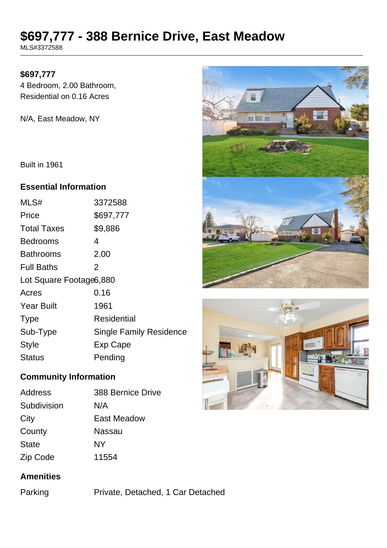# **\$697,777 - 388 Bernice Drive, East Meadow**

MLS#3372588

#### **\$697,777**

4 Bedroom, 2.00 Bathroom, Residential on 0.16 Acres

N/A, East Meadow, NY

Built in 1961

#### **Essential Information**

| MLS#                    | 3372588                        |
|-------------------------|--------------------------------|
| Price                   | \$697,777                      |
| <b>Total Taxes</b>      | \$9,886                        |
| <b>Bedrooms</b>         | 4                              |
| <b>Bathrooms</b>        | 2.00                           |
| <b>Full Baths</b>       | 2                              |
| Lot Square Footage6,880 |                                |
| Acres                   | 0.16                           |
| <b>Year Built</b>       | 1961                           |
| <b>Type</b>             | Residential                    |
| Sub-Type                | <b>Single Family Residence</b> |
| <b>Style</b>            | Exp Cape                       |
| Status                  | Pending                        |
|                         |                                |

# **Community Information**

| <b>Address</b> | 388 Bernice Drive |
|----------------|-------------------|
| Subdivision    | N/A               |
| City           | East Meadow       |
| County         | Nassau            |
| <b>State</b>   | NΥ                |
| Zip Code       | 11554             |

### **Amenities**

Parking Private, Detached, 1 Car Detached